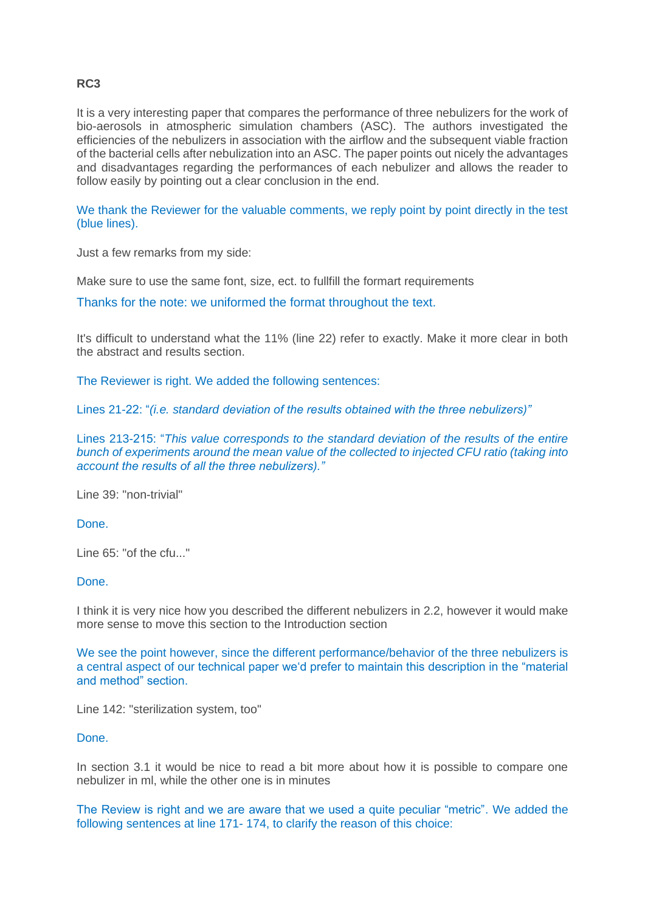## **RC3**

It is a very interesting paper that compares the performance of three nebulizers for the work of bio-aerosols in atmospheric simulation chambers (ASC). The authors investigated the efficiencies of the nebulizers in association with the airflow and the subsequent viable fraction of the bacterial cells after nebulization into an ASC. The paper points out nicely the advantages and disadvantages regarding the performances of each nebulizer and allows the reader to follow easily by pointing out a clear conclusion in the end.

We thank the Reviewer for the valuable comments, we reply point by point directly in the test (blue lines).

Just a few remarks from my side:

Make sure to use the same font, size, ect. to fullfill the formart requirements

Thanks for the note: we uniformed the format throughout the text.

It's difficult to understand what the 11% (line 22) refer to exactly. Make it more clear in both the abstract and results section.

The Reviewer is right. We added the following sentences:

Lines 21-22: "*(i.e. standard deviation of the results obtained with the three nebulizers)"*

Lines 213-215: "*This value corresponds to the standard deviation of the results of the entire bunch of experiments around the mean value of the collected to injected CFU ratio (taking into account the results of all the three nebulizers)."*

Line 39: "non-trivial"

Done.

Line 65: "of the cfu..."

## Done.

I think it is very nice how you described the different nebulizers in 2.2, however it would make more sense to move this section to the Introduction section

We see the point however, since the different performance/behavior of the three nebulizers is a central aspect of our technical paper we'd prefer to maintain this description in the "material and method" section.

Line 142: "sterilization system, too"

## Done.

In section 3.1 it would be nice to read a bit more about how it is possible to compare one nebulizer in ml, while the other one is in minutes

The Review is right and we are aware that we used a quite peculiar "metric". We added the following sentences at line 171- 174, to clarify the reason of this choice: